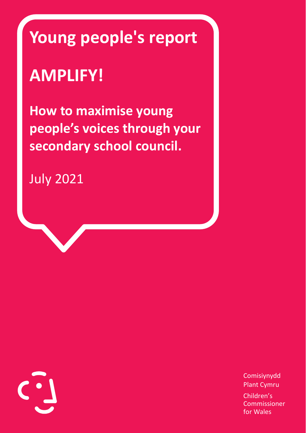## **Young people's report**

## **AMPLIFY!**

**How to maximise young people's voices through your secondary school council.**

July 2021



Comisiynydd Plant Cymru Children's Commissioner for Wales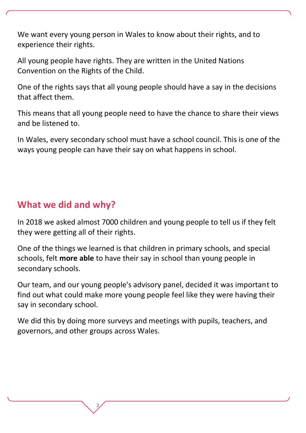We want every young person in Wales to know about their rights, and to experience their rights.

All young people have rights. They are written in the United Nations Convention on the Rights of the Child.

One of the rights says that all young people should have a say in the decisions that affect them.

This means that all young people need to have the chance to share their views and be listened to.

In Wales, every secondary school must have a school council. This is one of the ways young people can have their say on what happens in school.

## **What we did and why?**

In 2018 we asked almost 7000 children and young people to tell us if they felt they were getting all of their rights.

One of the things we learned is that children in primary schools, and special schools, felt **more able** to have their say in school than young people in secondary schools.

Our team, and our young people's advisory panel, decided it was important to find out what could make more young people feel like they were having their say in secondary school.

We did this by doing more surveys and meetings with pupils, teachers, and governors, and other groups across Wales.

2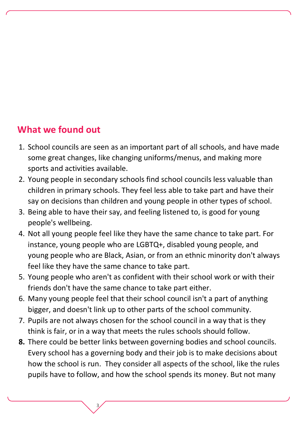## **What we found out**

- 1. School councils are seen as an important part of all schools, and have made some great changes, like changing uniforms/menus, and making more sports and activities available.
- 2. Young people in secondary schools find school councils less valuable than children in primary schools. They feel less able to take part and have their say on decisions than children and young people in other types of school.
- 3. Being able to have their say, and feeling listened to, is good for young people's wellbeing.
- 4. Not all young people feel like they have the same chance to take part. For instance, young people who are LGBTQ+, disabled young people, and young people who are Black, Asian, or from an ethnic minority don't always feel like they have the same chance to take part.
- 5. Young people who aren't as confident with their school work or with their friends don't have the same chance to take part either.
- 6. Many young people feel that their school council isn't a part of anything bigger, and doesn't link up to other parts of the school community.
- 7. Pupils are not always chosen for the school council in a way that is they think is fair, or in a way that meets the rules schools should follow.
- **8.** There could be better links between governing bodies and school councils. Every school has a governing body and their job is to make decisions about how the school is run. They consider all aspects of the school, like the rules pupils have to follow, and how the school spends its money. But not many

3